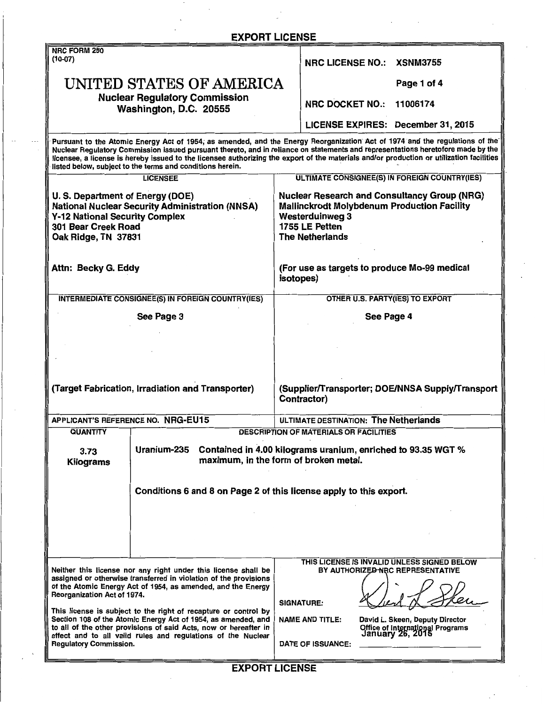| <b>EXPORT LICENSE</b>                                                                                                                                                                                                                                                                                                                                                                                                                                                                                                                      |                                                                                                                                                                                                                                                |
|--------------------------------------------------------------------------------------------------------------------------------------------------------------------------------------------------------------------------------------------------------------------------------------------------------------------------------------------------------------------------------------------------------------------------------------------------------------------------------------------------------------------------------------------|------------------------------------------------------------------------------------------------------------------------------------------------------------------------------------------------------------------------------------------------|
| <b>NRC FORM 250</b><br>$(10-07)$                                                                                                                                                                                                                                                                                                                                                                                                                                                                                                           | <b>NRC LICENSE NO.:</b><br><b>XSNM3755</b>                                                                                                                                                                                                     |
| UNITED STATES OF AMERICA                                                                                                                                                                                                                                                                                                                                                                                                                                                                                                                   | Page 1 of 4                                                                                                                                                                                                                                    |
| <b>Nuclear Regulatory Commission</b><br>Washington, D.C. 20555                                                                                                                                                                                                                                                                                                                                                                                                                                                                             | NRC DOCKET NO.:<br>11006174                                                                                                                                                                                                                    |
|                                                                                                                                                                                                                                                                                                                                                                                                                                                                                                                                            | LICENSE EXPIRES: December 31, 2015                                                                                                                                                                                                             |
| Pursuant to the Atomic Energy Act of 1954, as amended, and the Energy Reorganization Act of 1974 and the regulations of the<br>Nuclear Regulatory Commission issued pursuant thereto, and in reliance on statements and representations heretofore made by the<br>licensee, a license is hereby issued to the licensee authorizing the export of the materials and/or production or utilization facilities<br>listed below, subject to the terms and conditions herein.                                                                    |                                                                                                                                                                                                                                                |
| <b>LICENSEE</b>                                                                                                                                                                                                                                                                                                                                                                                                                                                                                                                            | ULTIMATE CONSIGNEE(S) IN FOREIGN COUNTRY(IES)                                                                                                                                                                                                  |
| U. S. Department of Energy (DOE)<br><b>National Nuclear Security Administration (NNSA)</b><br><b>Y-12 National Security Complex</b><br>301 Bear Creek Road<br>Oak Ridge, TN 37831                                                                                                                                                                                                                                                                                                                                                          | <b>Nuclear Research and Consultancy Group (NRG)</b><br><b>Mallinckrodt Molybdenum Production Facility</b><br><b>Westerduinweg 3</b><br>1755 LE Petten<br><b>The Netherlands</b>                                                                |
| Attn: Becky G. Eddy                                                                                                                                                                                                                                                                                                                                                                                                                                                                                                                        | (For use as targets to produce Mo-99 medical<br>isotopes)                                                                                                                                                                                      |
| <b>INTERMEDIATE CONSIGNEE(S) IN FOREIGN COUNTRY(IES)</b>                                                                                                                                                                                                                                                                                                                                                                                                                                                                                   | OTHER U.S. PARTY(IES) TO EXPORT                                                                                                                                                                                                                |
| See Page 3                                                                                                                                                                                                                                                                                                                                                                                                                                                                                                                                 | See Page 4                                                                                                                                                                                                                                     |
|                                                                                                                                                                                                                                                                                                                                                                                                                                                                                                                                            |                                                                                                                                                                                                                                                |
|                                                                                                                                                                                                                                                                                                                                                                                                                                                                                                                                            |                                                                                                                                                                                                                                                |
|                                                                                                                                                                                                                                                                                                                                                                                                                                                                                                                                            |                                                                                                                                                                                                                                                |
| (Target Fabrication, Irradiation and Transporter)                                                                                                                                                                                                                                                                                                                                                                                                                                                                                          | (Supplier/Transporter; DOE/NNSA Supply/Transport<br>Contractor)                                                                                                                                                                                |
| APPLICANT'S REFERENCE NO. NRG-EU15                                                                                                                                                                                                                                                                                                                                                                                                                                                                                                         | ULTIMATE DESTINATION: The Netherlands                                                                                                                                                                                                          |
| QUANTITY                                                                                                                                                                                                                                                                                                                                                                                                                                                                                                                                   | <b>DESCRIPTION OF MATERIALS OR FACILITIES</b>                                                                                                                                                                                                  |
| Uranium-235<br>Contained in 4.00 kilograms uranium, enriched to 93.35 WGT %<br>3.73<br>maximum, in the form of broken metal.<br>Kilograms                                                                                                                                                                                                                                                                                                                                                                                                  |                                                                                                                                                                                                                                                |
| Conditions 6 and 8 on Page 2 of this license apply to this export.                                                                                                                                                                                                                                                                                                                                                                                                                                                                         |                                                                                                                                                                                                                                                |
| Neither this license nor any right under this license shall be<br>assigned or otherwise transferred in violation of the provisions<br>of the Atomic Energy Act of 1954, as amended, and the Energy<br>Reorganization Act of 1974.<br>This license is subject to the right of recapture or control by<br>Section 108 of the Atomic Energy Act of 1954, as amended, and<br>to all of the other provisions of said Acts, now or hereafter in<br>effect and to all valid rules and regulations of the Nuclear<br><b>Regulatory Commission.</b> | THIS LICENSE IS INVALID UNLESS SIGNED BELOW<br>BY AUTHORIZED NRC REPRESENTATIVE<br><b>SIGNATURE:</b><br>David L. Skeen, Deputy Director<br><b>NAME AND TITLE:</b><br>Office of International Programs<br>January 26, 2015<br>DATE OF ISSUANCE: |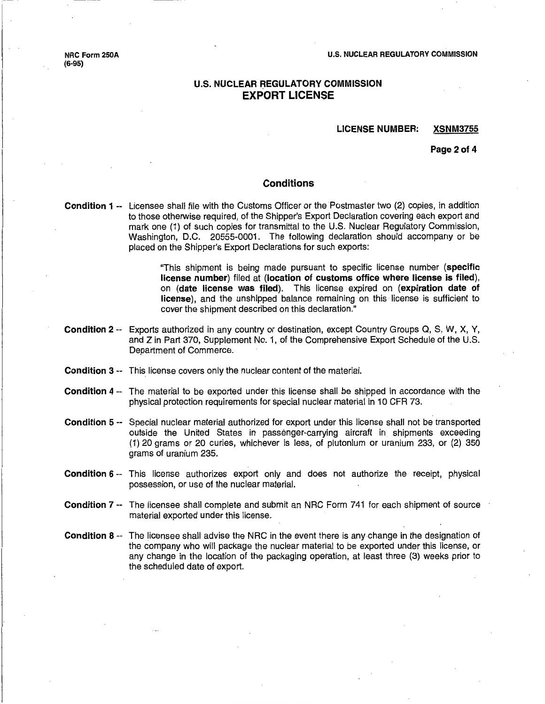NRC Form 250A (6-95)

### U.S. NUCLEAR REGULATORY COMMISSION EXPORT LICENSE

#### LICENSE NUMBER: XSNM3755

Page 2 of 4

#### **Conditions**

Condition 1 -- Licensee shall file with the Customs Officer or the Postmaster two (2) copies, in addition to those otherwise required, of the Shipper's Export Declaration covering each export and mark one (1) of such copies for transmittal to the U.S. Nuclear Regulatory Commission, Washington, D.C. 20555-0001. The following declaration should accompany or be placed on the Shipper's Export Declarations for such exports:

> "This shipment is being made pursuant to specific license number (specific license number) filed at (location of customs office where license is filed), on (date license was filed). This license expired on (expiration date of license), and the unshipped balance remaining on this license is sufficient to cover the shipment described on this declaration."

- Condition 2 -- Exports authorized in any country or destination, except Country Groups Q, S, W, X, Y, and Z in Part 370, Supplement No. 1, of the Comprehensive Export Schedule of the U.S. Department of Commerce.
- Condition 3 -- This license covers only the nuclear content of the material.
- Condition 4 -- The material to be exported under this license Shall be shipped in accordance with the physical protection requirements for special nuclear material in 10 CFR 73.
- Condition 5 -- Special nuclear material authorized for export under this license shall not be transported outside the United States in passenger-carrying aircraft in shipments exceeding (1) 20 grams or 20 curies, whichever is less, of plutonium or uranium 233, or (2) 350 grams of uranium 235.
- Condition 6 -- This license authorizes export only and does not authorize the receipt, physical possession, or use of the nuclear material.
- Condition 7 -- The licensee shall complete and submit an NRC Form 741 for each shipment of source material exported under this license.
- Condition 8 -- The licensee shall advise the NRC in the event there is any change in the designation of the company who will package the nuclear material to be exported under this license, or any change in the location of the packaging operation, at least three (3) weeks prior to the scheduled date of export.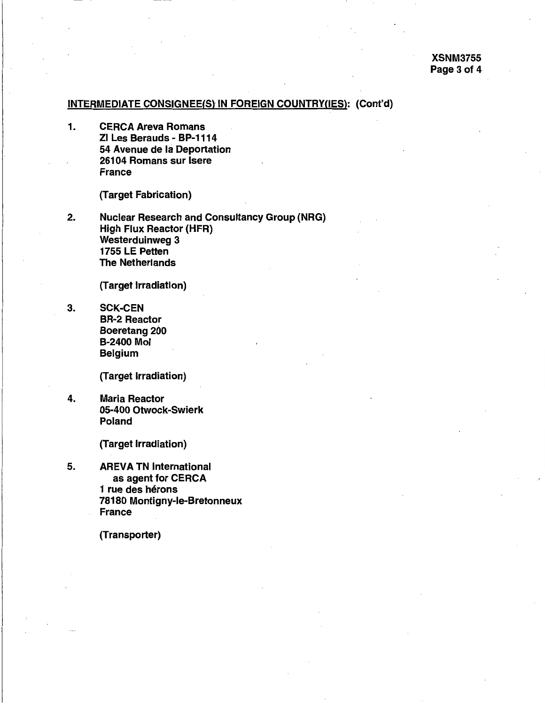# INTERMEDIATE CONSIGNEE(S)IN FOREIGN COUNTRY(IES): (Cont'd)

1. CERCA Areva Romans Zl Les Berauds - BP-1114 54 Avenue de Ia Deportation 26104 Romans sur lsere France

(Target Fabrication)

2. Nuclear Research and Consultancy Group (NRG) High Flux Reactor (HFR) Westerduinweg 3 1755 LE Petten The Netherlands

(Target Irradiation)

3. SCK-CEN BR-2 Reactor Boeretang 200 B-2400 Mol Belgium

(Target Irradiation)

4. Maria Reactor 05-400 Otwock-Swierk Poland

(Target Irradiation)

5. AREVA TN International as agent for CERCA 1 rue des hérons 78180 Montigny-le-Bretonneux France

(Transporter)